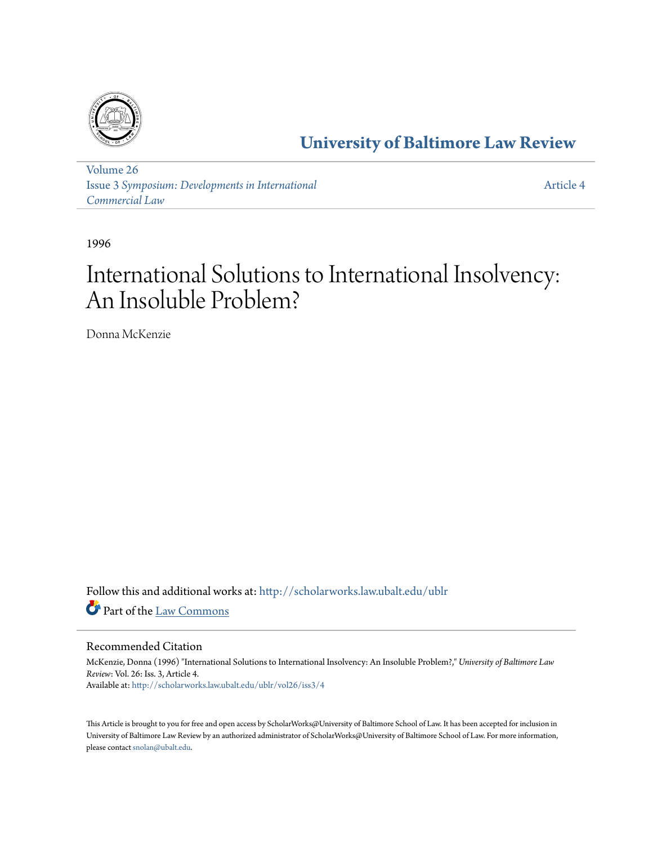

**[University of Baltimore Law Review](http://scholarworks.law.ubalt.edu/ublr?utm_source=scholarworks.law.ubalt.edu%2Fublr%2Fvol26%2Fiss3%2F4&utm_medium=PDF&utm_campaign=PDFCoverPages)**

[Volume 26](http://scholarworks.law.ubalt.edu/ublr/vol26?utm_source=scholarworks.law.ubalt.edu%2Fublr%2Fvol26%2Fiss3%2F4&utm_medium=PDF&utm_campaign=PDFCoverPages) Issue 3 *[Symposium: Developments in International](http://scholarworks.law.ubalt.edu/ublr/vol26/iss3?utm_source=scholarworks.law.ubalt.edu%2Fublr%2Fvol26%2Fiss3%2F4&utm_medium=PDF&utm_campaign=PDFCoverPages) [Commercial Law](http://scholarworks.law.ubalt.edu/ublr/vol26/iss3?utm_source=scholarworks.law.ubalt.edu%2Fublr%2Fvol26%2Fiss3%2F4&utm_medium=PDF&utm_campaign=PDFCoverPages)*

[Article 4](http://scholarworks.law.ubalt.edu/ublr/vol26/iss3/4?utm_source=scholarworks.law.ubalt.edu%2Fublr%2Fvol26%2Fiss3%2F4&utm_medium=PDF&utm_campaign=PDFCoverPages)

1996

# International Solutions to International Insolvency: An Insoluble Problem?

Donna McKenzie

Follow this and additional works at: [http://scholarworks.law.ubalt.edu/ublr](http://scholarworks.law.ubalt.edu/ublr?utm_source=scholarworks.law.ubalt.edu%2Fublr%2Fvol26%2Fiss3%2F4&utm_medium=PDF&utm_campaign=PDFCoverPages) Part of the [Law Commons](http://network.bepress.com/hgg/discipline/578?utm_source=scholarworks.law.ubalt.edu%2Fublr%2Fvol26%2Fiss3%2F4&utm_medium=PDF&utm_campaign=PDFCoverPages)

# Recommended Citation

McKenzie, Donna (1996) "International Solutions to International Insolvency: An Insoluble Problem?," *University of Baltimore Law Review*: Vol. 26: Iss. 3, Article 4. Available at: [http://scholarworks.law.ubalt.edu/ublr/vol26/iss3/4](http://scholarworks.law.ubalt.edu/ublr/vol26/iss3/4?utm_source=scholarworks.law.ubalt.edu%2Fublr%2Fvol26%2Fiss3%2F4&utm_medium=PDF&utm_campaign=PDFCoverPages)

This Article is brought to you for free and open access by ScholarWorks@University of Baltimore School of Law. It has been accepted for inclusion in University of Baltimore Law Review by an authorized administrator of ScholarWorks@University of Baltimore School of Law. For more information, please contact [snolan@ubalt.edu.](mailto:snolan@ubalt.edu)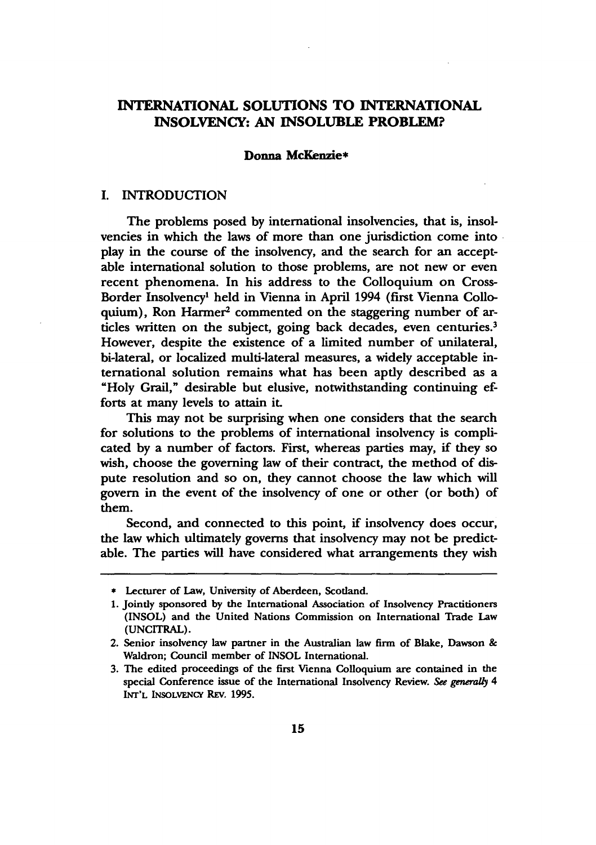# INTERNATIONAL SOLUTIONS TO INTERNATIONAL INSOLVENCY: AN INSOLUBLE PROBLEM?

#### Donna McKenzie\*

#### I. INTRODUCTION

The problems posed by international insolvencies, that is, insolvencies in which the laws of more than one jurisdiction come into . play in the course of the insolvency, and the search for an acceptable international solution to those problems, are not new or even recent phenomena. In his address to the Colloquium on Cross-Border Insolvency· held in Vienna in April 1994 (first Vienna Colloquium), Ron Harmer<sup>2</sup> commented on the staggering number of articles written on the subject, going back decades, even centuries.<sup>3</sup> However, despite the existence of a limited number of unilateral, bi-lateral, or localized multi-lateral measures, a widely acceptable international solution remains what has been aptly described as a "Holy Grail," desirable but elusive, notwithstanding continuing efforts at many levels to attain it.

This may not be surprising when one considers that the search for solutions to the problems of international insolvency is complicated by a number of factors. First, whereas parties may, if they so wish, choose the governing law of their contract, the method of dispute resolution and so on, they cannot choose the law which will govern in the event of the insolvency of one or other (or both) of them.

Second, and connected to this point, if insolvency does occur, the law which ultimately governs that insolvency may not be predictable. The parties will have considered what arrangements they wish

\* Lecturer of Law, University of Aberdeen, Scotland.

<sup>1.</sup> Jointly sponsored by the International Association of Insolvency Practitioners (INSOL) and the United Nations Commission on International Trade Law (UNCITRAL).

<sup>2.</sup> Senior insolvency law partner in the Australian law firm of Blake, Dawson & Waldron; Council member of INSOL International.

<sup>3.</sup> The edited proceedings of the first Vienna Colloquium are contained in the special Conference issue of the International Insolvency Review. See generally 4 INT'L INSOLVENCY REv. 1995.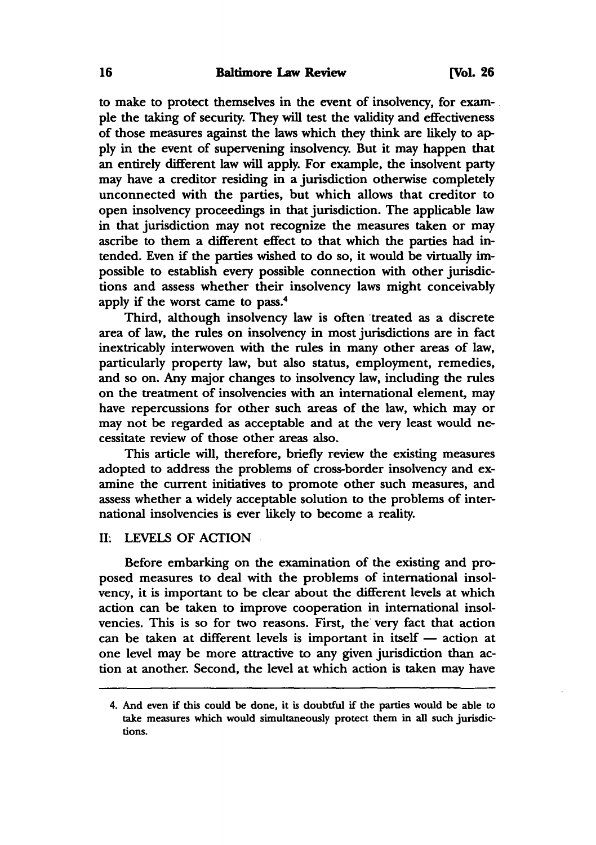to make to protect themselves in the event of insolvency, for exam- . pIe the taking of security. They will test the validity and effectiveness of those measures against the laws which they think are likely to apply in the event of supervening insolvency. But it may happen that an entirely different law will apply. For example, the insolvent party may have a creditor residing in a jurisdiction otherwise completely unconnected with the parties, but which allows that creditor to open insolvency proceedings in that jurisdiction. The applicable law in that jurisdiction may not recognize the measures taken or may ascribe to them a different effect to that which the parties had intended. Even if the parties wished to do so, it would be virtually impossible to establish every possible connection with other jurisdictions and assess whether their insolvency laws might conceivably apply if the worst came to pass.4

Third, although insolvency law is often treated as a discrete area of law, the rules on insolvency in most jurisdictions are in fact inextricably interwoven with the rules in many other areas of law, particularly property law, but also status, employment, remedies, and so on. Any major changes to insolvency law, including the rules on the treatment of insolvencies with an international element, may have repercussions for other such areas of the law, which mayor may not be regarded as acceptable and at the very least would necessitate review of those other areas also.

This article will, therefore, briefly review the existing measures adopted to address the problems of cross-border insolvency and examine the current initiatives to promote other such measures, and assess whether a widely acceptable solution to the problems of international insolvencies is ever likely to become a reality.

# II: LEVELS OF ACTION

Before embarking on the examination of the existing and proposed measures to deal with the problems of international insolvency, it is important to be clear about the different levels at which action can be taken to improve cooperation in international insolvencies. This is so for two reasons. First, the very fact that action can be taken at different levels is important in itself  $-$  action at one level may be more attractive to any given jurisdiction than action at another. Second, the level at which action is taken may have

<sup>4.</sup> And even if this could be done, it is doubtful if the parties would be able to take measures which would simultaneously protect them in all such jurisdictions.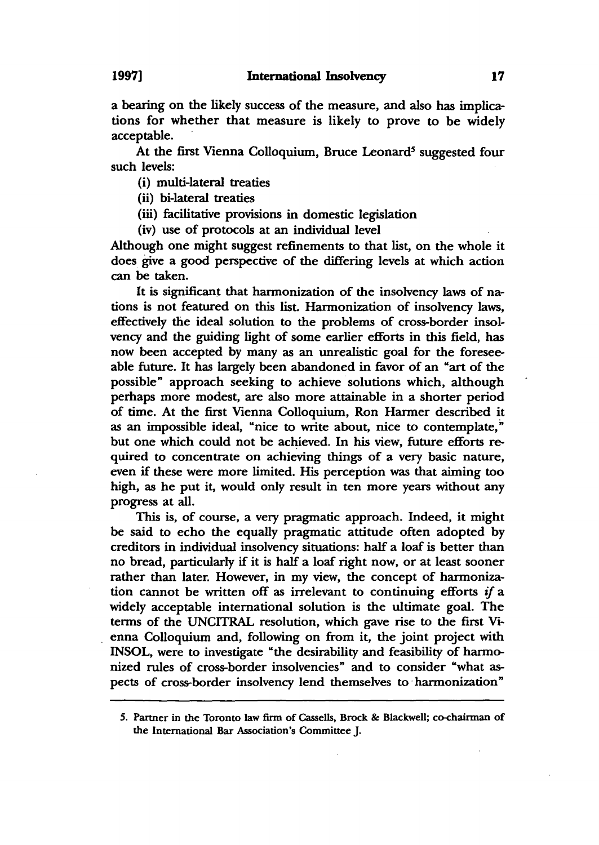a bearing on the likely success of the measure, and also has implications for whether that measure is likely to prove to be widely acceptable.

At the first Vienna Colloquium, Bruce Leonard<sup>5</sup> suggested four such levels:

(i) multi-lateral treaties

(ii) bi-Iateral treaties

(iii) facilitative provisions in domestic legislation

(iv) use of protocols at an individual level

Although one might suggest refinements to that list, on the whole it does give a good perspective of the differing levels at which action can be taken.

It is significant that harmonization of the insolvency laws of nations is not featured on this list. Harmonization of insolvency laws, effectively the ideal solution to the problems of cross-border insolvency and the guiding light of some earlier efforts in this field, has now been accepted by many as an unrealistic goal for the foreseeable future. It has largely been abandoned in favor of an "art of the possible" approach seeking to achieve solutions which, although perhaps more modest, are also more attainable in a shorter period of time. At the first Vienna Colloquium, Ron Harmer described it as an impossible ideal, "nice to write about, nice to contemplate," but one which could not be achieved. In his view, future efforts required to concentrate on achieving things of a very basic nature, even if these were more limited. His perception was that aiming too high, as he put it, would only result in ten more years without any progress at all.

This is, of course, a very pragmatic approach. Indeed, it might be said to echo the equally pragmatic attitude often adopted by creditors in individual insolvency situations: half a loaf is better than no bread, particularly if it is half a loaf right now, or at least sooner rather than later. However, in my view, the concept of harmonization cannot be written off as irrelevant to continuing efforts if a widely acceptable international solution is the ultimate goal. The terms of the UNCITRAL resolution, which gave rise to the first Vienna Colloquium and, following on from it, the joint project with INSOL, were to investigate "the desirability and feasibility of harmonized rules of cross-border insolvencies" and to consider "what aspects of cross-border insolvency lend themselves to· harmonization"

<sup>5.</sup> Partner in the Toronto law firm of Cassells, Brock & Blackwell; co-chairman of the International Bar Association's Committee J.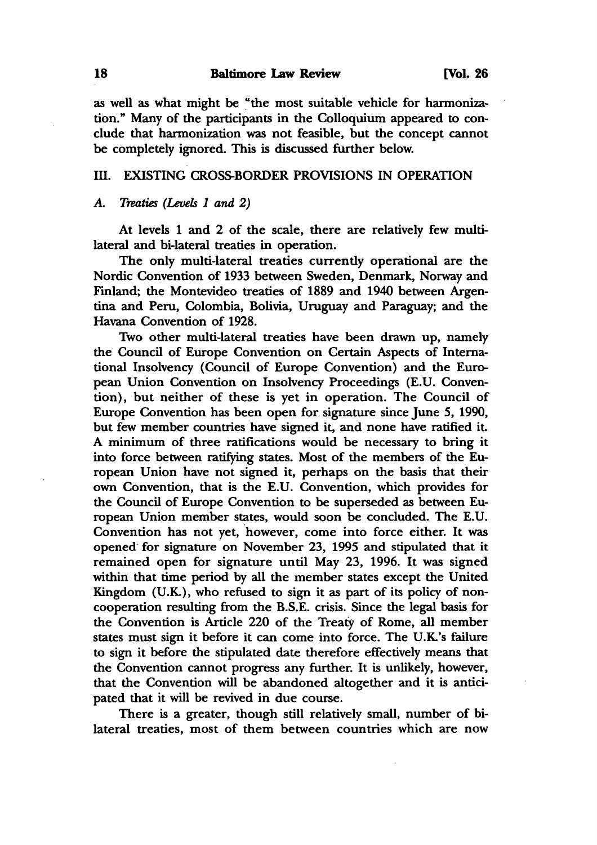as well as what might be "the most suitable vehicle for harmonization." Many of the participants in the Colloquium appeared to conclude that harmonization was not feasible, but the concept cannot be completely ignored. This is discussed further below.

# III. EXISTING CROSS-BORDER PROVISIONS IN OPERATION

#### *A. Treaties (Levels* 1 *and 2)*

At levels 1 and 2 of the scale, there are relatively few multilateral and bi-Iateral treaties in operation.

The only multi-lateral treaties currently operational are the Nordic Convention of 1933 between Sweden, Denmark, Norway and Finland; the Montevideo treaties of 1889 and 1940 between Argentina and Peru, Colombia, Bolivia, Uruguay and Paraguay; and the Havana Convention of 1928.

Two other multi-lateral treaties have been drawn up, namely the Council of Europe Convention on Certain Aspects of International Insolvency (Council of Europe Convention) and the European Union Convention on Insolvency Proceedings (E.U. Convention), but neither of these is yet in operation. The Council of Europe Convention has been open for signature since June 5, 1990, but few member countries have signed it, and none have ratified it. A minimum of three ratifications would be necessary to bring it into force between ratifying states. Most of the members of the European Union have not signed it, perhaps on the basis that their own Convention, that is the E.U. Convention, which provides for the Council of Europe Convention to be superseded as between European Union member states, would soon be concluded. The E.U. Convention has not yet, however, come into force either. It was opened for signature on November 23, 1995 and stipulated that it remained open for signature until May 23, 1996. It was signed within that time period by all the member states except the United Kingdom (U.K.), who refused to sign it as part of its policy of noncooperation resulting from the B.S.E. crisis. Since the legal basis for the Convention is Article 220 of the Treaty of Rome, all member states must sign it before it can come into force. The U.K.'s failure to sign it before the stipulated date therefore effectively means that the Convention cannot progress any further. It is unlikely, however, that the Convention will be abandoned altogether and it is anticipated that it will be revived in due course.

There is a greater, though still relatively small, number of bilateral treaties, most of them between countries which are now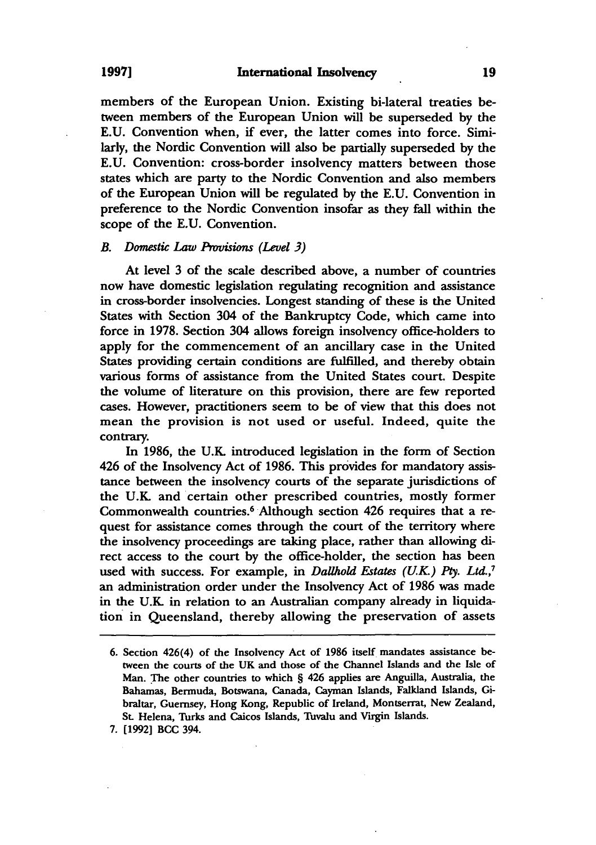members of the European Union. Existing bi-Iateral treaties between members of the European Union will be superseded by the E.U. Convention when, if ever, the latter comes into force. Similarly, the Nordic Convention will also be partially superseded by the E.U. Convention: cross-border insolvency matters between those states which are party to the Nordic Convention and also members of the European Union will be regulated by the E.U. Convention in preference to the Nordic Convention insofar as they fall within the scope of the E.U. Convention.

#### **B.** Domestic Law Provisions *(Level 3)*

At level 3 of the scale described above, a number of countries now have domestic legislation regulating recognition and assistance in cross-border insolvencies. Longest standing of these is the United States with Section 304 of the Bankruptcy Code, which came into force in 1978. Section 304 allows foreign insolvency office-holders to apply for the commencement of an ancillary case in the United States providing certain conditions are fulfilled, and thereby obtain various forms of assistance from the United States court. Despite the volume of literature on this provision, there are few reported cases. However, practitioners seem to be of view that this does not mean the provision is not used or useful. Indeed, quite the contrary.

In 1986, the V.K. introduced legislation in the form of Section 426 of the Insolvency Act of 1986. This provides for mandatory assistance between the insolvency courts of the separate jurisdictions of the V.K. and certain other prescribed countries, mostly former Commonwealth countries.6 Although section 426 requires that a request for assistance comes through the court of the territory where the insolvency proceedings are taking place, rather than allowing direct access to the court by the office-holder, the section has been used with success. For example, in *Dallhold Estates (U.K.)* Pty. *Ltd.,1*  an administration order under the Insolvency Act of 1986 was made in the V.K. in relation to an Australian company already in liquidation in Queensland, thereby allowing the preservation of assets

<sup>6.</sup> Section 426(4) of the Insolvency Act of 1986 itself mandates assistance between the courts of the UK and those of the Channel Islands and the Isle of Man. The other countries to which § 426 applies are Anguilla, Australia, the Bahamas, Bermuda, Botswana, Canada, Cayman Islands, Falkland Islands, Gibraltar, Guernsey, Hong Kong, Republic of Ireland, Montserrat, New Zealand, St. Helena, Turks and Caicos Islands, Tuvalu and *Vugin* Islands.

<sup>7. [1992]</sup> BCC 394.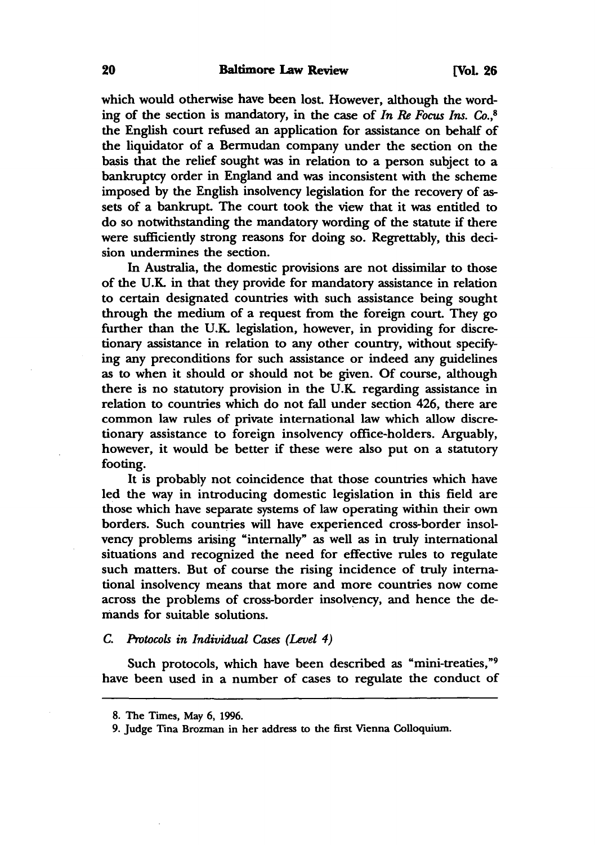which would otherwise have been lost. However, although the wording of the section is mandatory, in the case of *In Re Focus Ins.* Co.,<sup>8</sup> the English court refused an application for assistance on behalf of the liquidator of a Bermudan company under the section on the basis that the relief sought was in relation to a person subject to a bankruptcy order in England and was inconsistent with the scheme imposed by the English insolvency legislation for the recovery of assets of a bankrupt. The court took the view that it was entitled to do so notwithstanding the mandatory wording of the statute if there were sufficiently strong reasons for doing so. Regrettably, this decision undermines the section.

In Australia, the domestic provisions are not dissimilar to those of the U.K. in that they provide for mandatory assistance in relation to certain designated countries with such assistance being sought through the medium of a request from the foreign court. They go further than the V.K. legislation, however, in providing for discretionary assistance in relation to any other country, without specifying any preconditions for such assistance or indeed any guidelines as to when it should or should not be given. Of course, although there is no statutory provision in the V.K. regarding assistance in relation to countries which do not fall under section 426, there are common law rules of private international law which allow discretionary assistance to foreign insolvency office-holders. Arguably, however, it would be better if these were also put on a statutory footing.

It is probably not coincidence that those countries which have led the way in introducing domestic legislation in this field are those which have separate systems of law operating within their own borders. Such countries will have experienced cross-border insolvency problems arising "internally" as well as in truly international situations and recognized the need for effective rules to regulate such matters. But of course the rising incidence of truly international insolvency means that more and more countries now come across the problems of cross-border insolvency, and hence the demands for suitable solutions.

#### C. *Protocols in Individual Cases (Level* 4)

Such protocols, which have been described as "mini-treaties,"<sup>9</sup> have been used in a number of cases to regulate the conduct of

<sup>8.</sup> The Times, May 6, 1996.

<sup>9.</sup> Judge Tina Brozman in her address to the first Vienna Colloquium.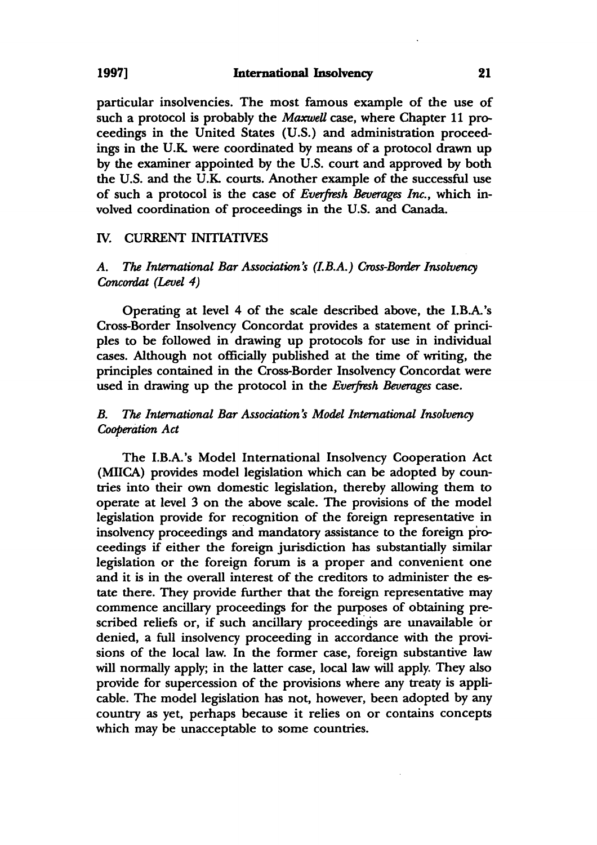particular insolvencies. The most famous example of the use of such a protocol is probably the *Maxwell* case, where Chapter 11 proceedings in the United States (U.S.) and administration proceedings in the U.K were coordinated by means of a protocol drawn up by the examiner appointed by the U.S. court and approved by both the U.S. and the U.K courts. Another example of the successful use of such a protocol is the case of *Everfresh Beverages Inc.,* which involved coordination of proceedings in the U.S. and Canada.

# IV. CURRENT INITIATIVES

# A. The International Bar Association's (I.B.A.) Cross-Border Insolvency *Concordat (Level* 4)

Operating at level 4 of the scale described above, the I.B.A. 's Cross-Border Insolvency Concordat provides a statement of principles to be followed in drawing up protocols for use in individual cases. Although not officially published at the time of writing, the principles contained in the Cross-Border Insolvency Concordat were used in drawing up the protocol in the *Everfresh Beverages* case.

# *B. The International Bar Association s Model International Insolvency Cooperation Act*

The I.B.A. 's Model International Insolvency Cooperation Act (MllCA) provides model legislation which can be adopted by countries into their own domestic legislation, thereby allowing them to operate at level 3 on the above scale. The provisions of the model legislation provide for recognition of the foreign representative in insolvency proceedings and mandatory assistance to the foreign proceedings if either the foreign jurisdiction has substantially similar legislation or the foreign forum is a proper and convenient one and it is in the overall interest of the creditors to administer the estate there. They provide further that the foreign representative may commence ancillary proceedings for the purposes of obtaining prescribed reliefs or, if such ancillary proceedings are unavailable or denied, a full insolvency proceeding in accordance with the provisions of the local law. In the former case, foreign substantive law will normally apply; in the latter case, local law will apply. They also provide for supercession of the provisions where any treaty is applicable. The model legislation has not, however, been adopted by any country as yet, perhaps because it relies on or contains concepts which may be unacceptable to some countries.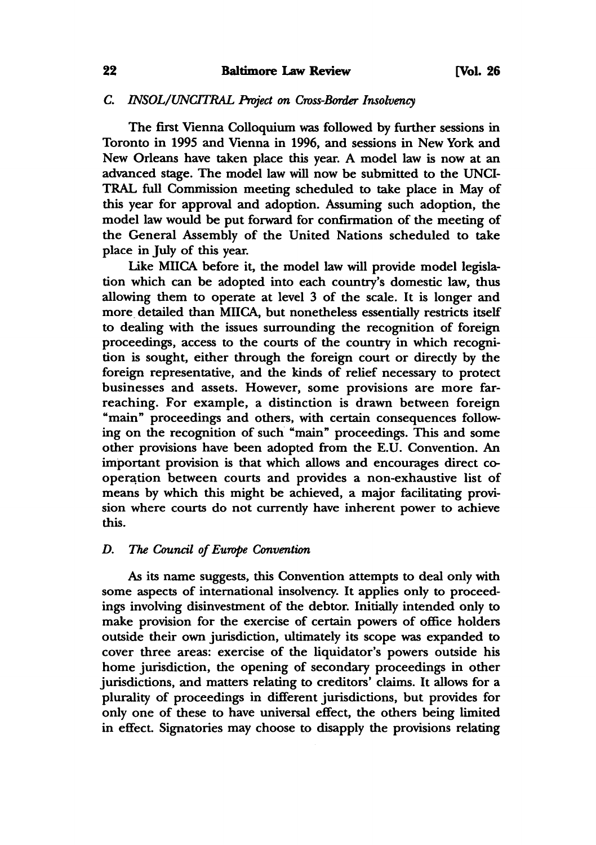# C. *INSOL/UNCITRAL Project on Cross-Border Insolvency*

The first Vienna Colloquium was followed by further sessions in Toronto in 1995 and Vienna in 1996, and sessions in New York and New Orleans have taken place this year. A model law is now at an advanced stage. The model law will now be submitted to the UNCI-TRAL full Commission meeting scheduled to take place in May of this year for approval and adoption. Assuming such adoption, the model law would be put forward for confirmation of the meeting of the General Assembly of the United Nations scheduled to take place in July of this year.

Like MIICA before it, the model law will provide model legislation which can be adopted into each country's domestic law, thus allowing them to operate at level 3 of the scale. It is longer and more detailed than MllCA, but nonetheless essentially restricts itself to dealing with the issues surrounding the recognition of foreign proceedings, access to the courts of the country in which recognition is sought, either through the foreign court or directly by the foreign representative, and the kinds of relief necessary to protect businesses and assets. However, some provisions are more farreaching. For example, a distinction is drawn between foreign "main" proceedings and others, with certain consequences following on the recognition of such "main" proceedings. This and some other provisions have been adopted from the E.U. Convention. An important provision is that which allows and encourages direct cooperation between courts and provides a non-exhaustive list of means by which this might be achieved, a major facilitating provision where courts do not currently have inherent power to achieve this.

# *D. The Council of Europe Convention*

As its name suggests, this Convention attempts to deal only with some aspects of international insolvency. It applies only to proceedings involving disinvestment of the debtor. Initially intended only to make provision for the exercise of certain powers of office holders outside their own jurisdiction, ultimately its scope was expanded to cover three areas: exercise of the liquidator's powers outside his home jurisdiction, the opening of secondary proceedings in other jurisdictions, and matters relating to creditors' claims. It allows for a plurality of proceedings in different jurisdictions, but provides for only one of these to have universal effect, the others being limited in effect. Signatories may choose to disapply the provisions relating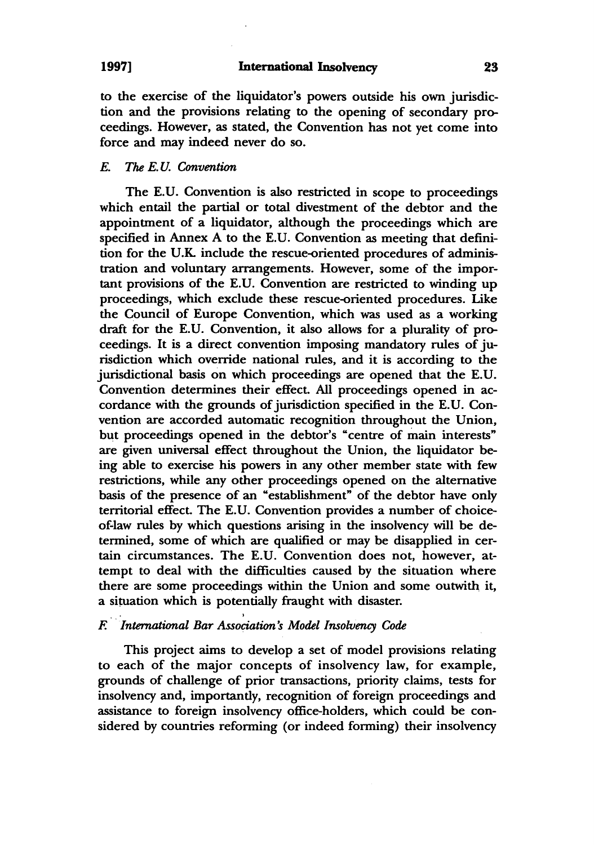to the exercise of the liquidator's powers outside his own jurisdiction and the provisions relating to the opening of secondary proceedings. However, as stated, the Convention has not yet come into force and may indeed never do so.

# *E. The E. U. Convention*

The E.U. Convention is also restricted in scope to proceedings which entail the partial or total divestment of the debtor and the appointment of a liquidator, although the proceedings which are specified in Annex A to the E.U. Convention as meeting that definition for the U.K include the rescue-oriented procedures of administration and voluntary arrangements. However, some of the important provisions of the E.U. Convention are restricted to winding up proceedings, which exclude these rescue-oriented procedures. Like the Council of Europe Convention, which was used as a working draft for the E.U. Convention, it also allows for a plurality of proceedings. It is a direct convention imposing mandatory rules of jurisdiction which override national rules, and it is according to the jurisdictional basis on which proceedings are opened that the E.U. Convention determines their effect. All proceedings opened in accordance with the grounds of jurisdiction specified in the E. U. Convention are accorded automatic recognition throughout the Union, but proceedings opened in the debtor's "centre of main interests" are given universal effect throughout the Union, the liquidator being able to exercise his powers in any other member state with few restrictions, while any other proceedings opened on the alternative basis of the presence of an "establishment" of the debtor have only territorial effect. The E.U. Convention provides a number of choiceof-law rules by which questions arising in the insolvency will be determined, some of which are qualified or may be disapplied in certain circumstances. The E.U. Convention does not, however, attempt to deal with the difficulties caused by the situation where there are some proceedings within the Union and some outwith it, a situation which is potentially fraught with disaster.

# *F. International Bar Association:S Model Insolvency Code*

This project aims to develop a set of model provisions relating to each of the major concepts of insolvency law, for example, grounds of challenge of prior transactions, priority claims, tests for insolvency and, importantly, recognition of foreign proceedings and assistance to foreign insolvency office-holders, which could be considered by countries reforming (or indeed forming) their insolvency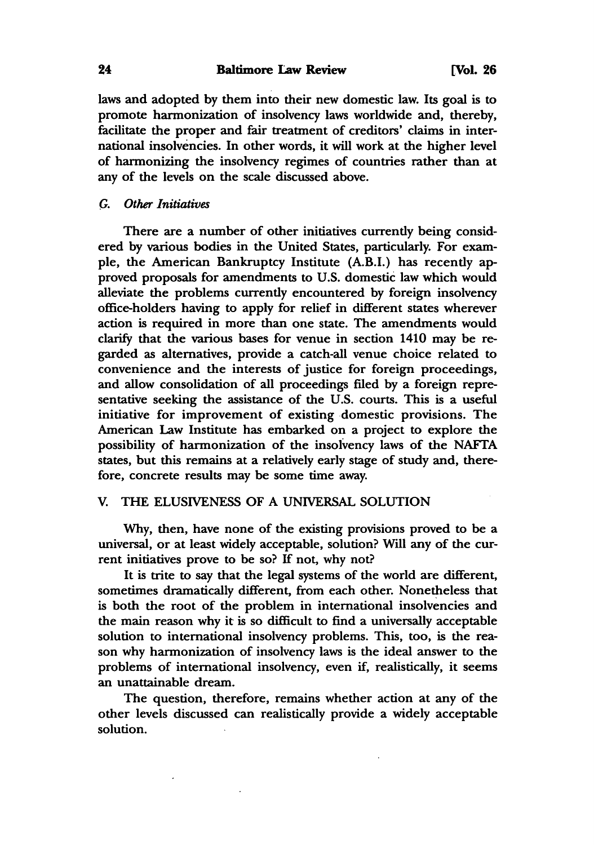laws and adopted by them into their new domestic law. Its goal is to promote harmonization of insolvency laws worldwide and, thereby, facilitate the proper and fair treatment of creditors' daims in international insolvencies. In other words, it will work at the higher level of harmonizing the insolvency regimes of countries rather than at any of the levels on the scale discussed above.

# G. *Other Initiatives*

There are a number of other initiatives currently being considered by various bodies in the United States, particularly. For example, the American Bankruptcy Institute (A.B.I.) has recently approved proposals for amendments to U.S. domestic law which would alleviate the problems currently encountered by foreign insolvency office-holders having to apply for relief in different states wherever action is required in more than one state. The amendments would clarify that the various bases for venue in section 1410 may be regarded as alternatives, provide a catch-all venue choice related to convenience and the interests of justice for foreign proceedings, and allow consolidation of all proceedings filed by a foreign representative seeking the assistance of the U.S. courts. This is a useful initiative for improvement of existing domestic provisions. The American Law Institute has embarked on a project to explore the possibility of harmonization of the insolvency laws of the NAFTA states, but this remains at a relatively early stage of study and, therefore, concrete results may be some time away.

### v. THE ELUSIVENESS OF A UNIVERSAL SOLUTION

Why, then, have none of the existing provisions proved to be a universal, or at least widely acceptable, solution? Will any of the current initiatives prove to be so? If not, why not?

It is trite to say that the legal systems of the world are different, sometimes dramatically different, from each other. Nonetheless that is both the root of the problem in international insolvencies and the main reason why it is so difficult to find a universally acceptable solution to international insolvency problems. This, too, is the reason why harmonization of insolvency laws is the ideal answer to the problems of international insolvency, even if, realistically, it seems an unattainable dream.

The question, therefore, remains whether action at any of the other levels discussed can realistically provide a widely acceptable solution.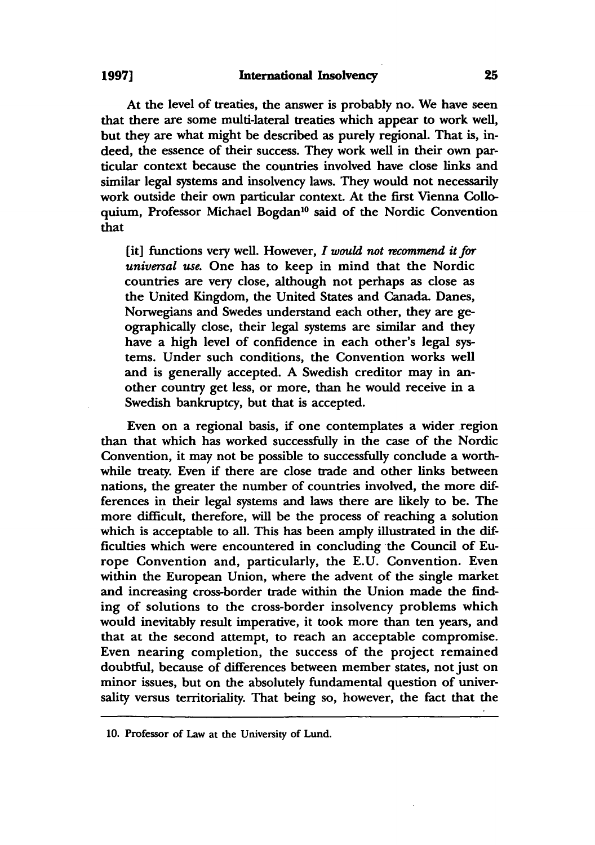# 1997] International Insolvency 25

At the level of treaties, the answer is probably no. We have seen that there are some multi-lateral treaties which appear to work well, but they are what might be described as purely regional. That is, indeed, the essence of their success. They work well in their own particular context because the countries involved have close links and similar legal systems and insolvency laws. They would not necessarily work outside their own particular context. At the first Vienna Colloquium, Professor Michael Bogdan<sup>10</sup> said of the Nordic Convention that

[it] functions very well. However, *I would not recommend it for universal use.* One has to keep in mind that the Nordic countries are very close, although not perhaps as close as the United Kingdom, the United States and Canada. Danes, Norwegians and Swedes understand each other, they are geographically close, their legal systems are similar and they have a high level of confidence in each other's legal systems. Under such conditions, the Convention works well and is generally accepted. A Swedish creditor may in another country get less, or more, than he would receive in a Swedish bankruptcy, but that is accepted.

Even on a regional basis, if one contemplates a wider region than that which has worked successfully in the case of the Nordic Convention, it may not be possible to successfully conclude a worthwhile treaty. Even if there are close trade and other links between nations, the greater the number of countries involved, the more differences in their legal systems and laws there are likely to be. The more difficult, therefore, will be the process of reaching a solution which is acceptable to all. This has been amply illustrated in the difficulties which were encountered in concluding the Council of Europe Convention and, particularly, the E.U. Convention. Even within the European Union, where the advent of the single market and increasing cross-border trade within the Union made the finding of solutions to the cross-border insolvency problems which would inevitably result imperative, it took more than ten years, and that at the second attempt, to reach an acceptable compromise. Even nearing completion, the success of the project remained doubtful, because of differences between member states, not just on minor issues, but on the absolutely fundamental question of universality versus territoriality. That being so, however, the fact that the

<sup>10.</sup> Professor of Law at the University of Lund.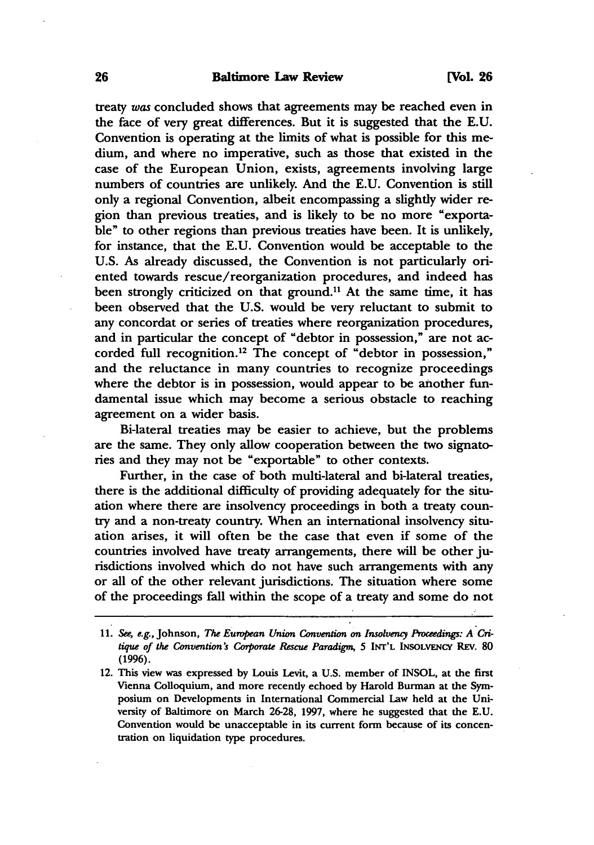#### 26 Baltimore Law Review [Vol. 26

treaty *was* concluded shows that agreements may be reached even in the face of very great differences. But it is suggested that the E. U. Convention is operating at the limits of what is possible for this medium, and where no imperative, such as those that existed in the case of the European Union, exists, agreements involving large numbers of countries are unlikely. And the E.U. Convention is still only a regional Convention, albeit encompassing a slightly wider region than previous treaties, and is likely to be no more "exportable" to other regions than previous treaties have been. It is unlikely, for instance, that the E.U. Convention would be acceptable to the U.S. As already discussed, the Convention is not particularly oriented towards rescue/reorganization procedures, and indeed has been strongly criticized on that ground.<sup>11</sup> At the same time, it has been observed that the U.S. would be very reluctant to submit to any concordat or series of treaties where reorganization procedures, and in particular the concept of "debtor in possession," are not accorded full recognition. 12 The concept of "debtor in possession," and the reluctance in many countries to recognize proceedings where the debtor is in possession, would appear to be another fundamental issue which may become a serious obstacle to reaching agreement on a wider basis.

Bi-Iateral treaties may be easier to achieve, but the problems are the same. They only allow cooperation between the two signatories and they may not be "exportable" to other contexts.

Further, in the case of both multi-lateral and bi-Iateral treaties, there is the additional difficulty of providing adequately for the situation where there are insolvency proceedings in both a treaty country and a non-treaty country. When an international insolvency situation arises, it will often be the case that even if some of the countries involved have treaty arrangements, there will be other jurisdictions involved which do not have such arrangements with any or all of the other relevant jurisdictions. The situation where some of the proceedings fall within the scope of a treaty and some do not

*<sup>11.</sup> See, e.g.,* Johnson, *The European Union Convention on Insolvency Proceedings: A Critique of the Convention's Corporate Rescue Paradigm, 5 INT'L INSOLVENCY REV. 80* (1996).

<sup>12.</sup> This view was expressed by Louis Levit, a U.S. member of INSOL, at the first Vienna Colloquium, and more recently echoed by Harold Burman at the Symposium on Developments in International Commercial Law held at the University of Baltimore on March 26-28, 1991, where he suggested that the E.U. Convention would be unacceptable in its current form because of its concentration on liquidation type procedures.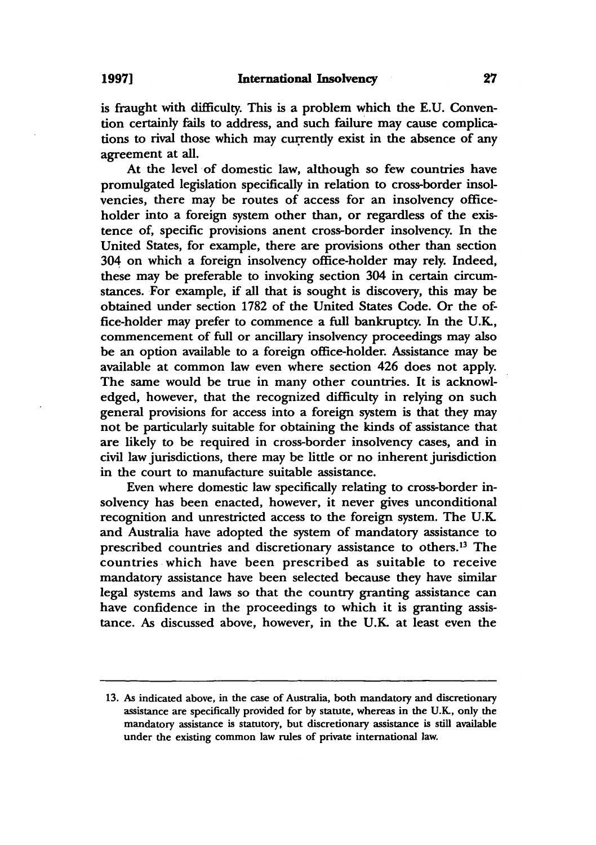is fraught with difficulty. This is a problem which the E.U. Convention certainly fails to address, and such failure may cause complications to rival those which may currently exist in the absence of any agreement at all.

At the level of domestic law, although so few countries have promulgated legislation specifically in relation to cross-border insolvencies, there may be routes of access for an insolvency officeholder into a foreign system other than, or regardless of the existence of, specific provisions anent cross-border insolvency. In the United States, for example, there are provisions other than section 304 on which a foreign insolvency office-holder may rely. Indeed, these may be preferable to invoking section 304 in certain circumstances.For example, if all that is sought is discovery, this may be obtained under section 1782 of the United States Code. Or the office-holder may prefer to commence a full bankruptcy. In the U.K, commencement of full or ancillary insolvency proceedings may also be an option available to a foreign office-holder. Assistance may be available at common law even where section 426 does not apply. The same would be true in many other countries. It is acknowledged, however, that the recognized difficulty in relying on such general provisions for access into a foreign system is that they may not be particularly suitable for obtaining the kinds of assistance that are likely to be required in cross-border insolvency cases, and in civil law jurisdictions, there may be little or no inherent jurisdiction in the court to manufacture suitable assistance.

Even where domestic law specifically relating to cross-border insolvency has been enacted, however, it never gives unconditional recognition and unrestricted access to the foreign system. The U.K and Australia have adopted the system of mandatory assistance to prescribed countries and discretionary assistance to others.<sup>13</sup> The countries which have been prescribed as suitable to receive mandatory assistance have been selected because they have similar legal systems and laws so that the country granting assistance can have confidence in the proceedings to which it is granting assistance. As discussed above, however, in the U.K at least even the

<sup>13.</sup> As indicated above, in the case of Australia, both mandatory and discretionary assistance are specifically provided for by statute, whereas in the U.K, only the mandatory assistance is statutory, but discretionary assistance is still available under the existing common law rules of private international law.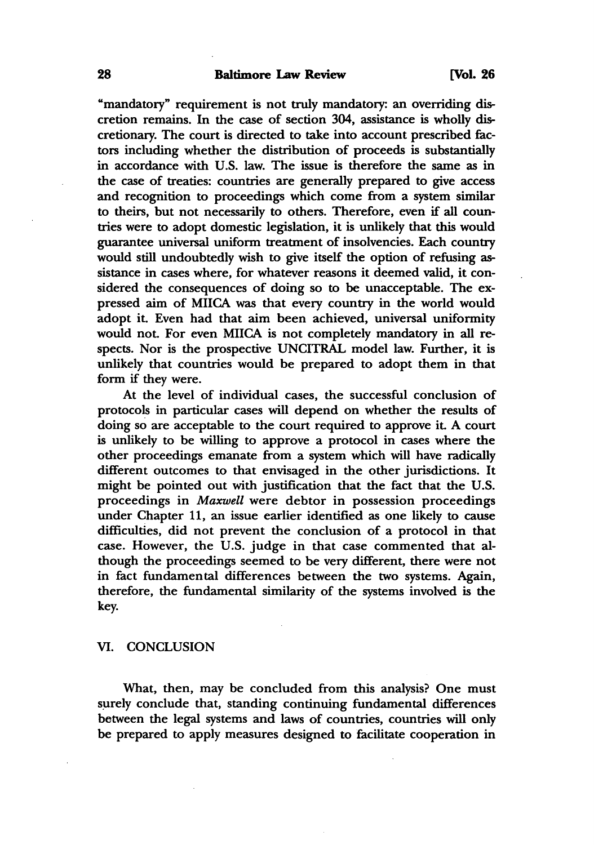#### 28 Baltimore Law Review [Vol. 26]

"mandatory" requirement is not truly mandatory: an overriding discretion remains. In the case of section 304, assistance is wholly discretionary. The court is directed to take into account prescribed factors including whether the distribution of proceeds is substantially in accordance with U.S. law. The issue is therefore the same as in the case of treaties: countries are generally prepared to give access and recognition to proceedings which come from a system similar to theirs, but not necessarily to others. Therefore, even if all countries were to adopt domestic legislation, it is unlikely that this would guarantee universal uniform treatment of insolvencies. Each country would still undoubtedly wish to give itself the option of refusing assistance in cases where, for whatever reasons it deemed valid, it considered the consequences of doing so to be unacceptable. The expressed aim of MIICA was that every country in the world would adopt it. Even had that aim been achieved, universal uniformity would not. For even MIICA is not completely mandatory in all respects. Nor is the prospective UNCITRAL model law. Further, it is unlikely that countries would be prepared to adopt them in that form if they were.

At the level of individual cases, the successful conclusion of protocols in particular cases will depend on whether the results of doing so are acceptable to the court required to approve it. A court is unlikely to be willing to approve a protocol in cases where the other proceedings emanate from a system which will have radically different outcomes to that envisaged in the other jurisdictions. It might be pointed out with justification that the fact that the U.S. proceedings in *Maxwell* were debtor in possession proceedings under Chapter 11, an issue earlier identified as one likely to cause difficulties, did not prevent the conclusion of a protocol in that case. However, the U.S. judge in that case commented that although the proceedings seemed to be very different, there were not in fact fundamental differences between the two systems. Again, therefore, the fundamental similarity of the systems involved is the key.

# VI. CONCLUSION

What, then, may be concluded from this analysis? One must surely conclude that, standing continuing fundamental differences between the legal systems and laws of countries, countries will only be prepared to apply measures designed to facilitate cooperation in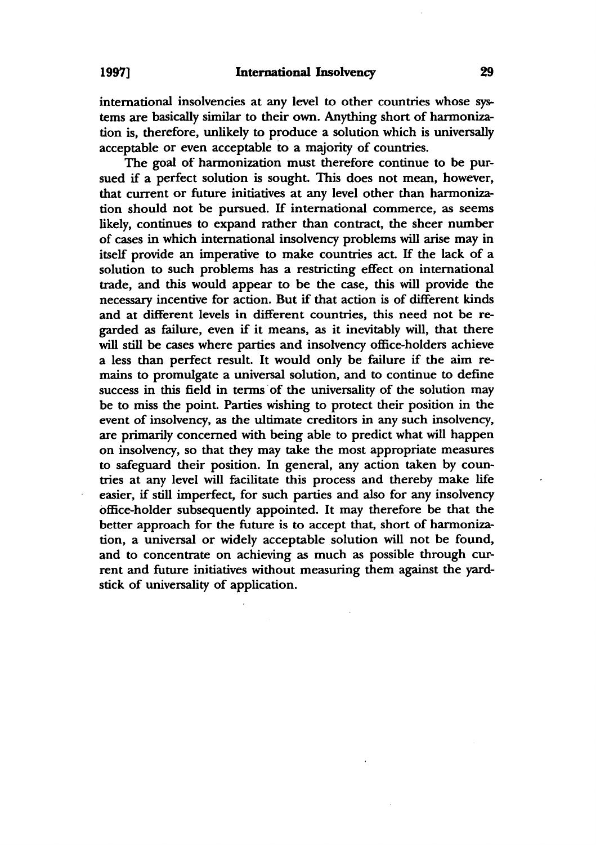international insolvencies at any level to other countries whose systems are basically similar to their own. Anything short of harmonization is, therefore, unlikely to produce a solution which is universally acceptable or even acceptable to a majority of countries.

The goal of harmonization must therefore continue to be pursued if a perfect solution is sought. This does not mean, however, that current or future initiatives at any level other than harmonization should not be pursued. If international commerce, as seems likely, continues to expand rather than contract, the sheer number of cases in which international insolvency problems will arise may in itself provide an imperative to make countries act. If the lack of a solution to such problems has a restricting effect on international trade, and this would appear to be the case, this will provide the necessary incentive for action. But if that action is of different kinds and at different levels in different countries, this need not be regarded as failure, even if it means, as it inevitably will, that there will still be cases where parties and insolvency office-holders achieve a less than perfect result. It would only be failure if the aim remains to promulgate a universal solution, and to continue to define success in this field in terms of the universality of the solution may be to miss the point. Parties wishing to protect their position in the event of insolvency, as the ultimate creditors in any such insolvency, are primarily concerned with being able to predict what will happen on insolvency, so that they may take the most appropriate measures to safeguard their position. In general, any action taken by countries at any level will facilitate this process and thereby make life easier, if still imperfect, for such parties and also for any insolvency office-holder subsequently appointed. It may therefore be that the better approach for the future is to accept that, short of harmonization, a universal or widely acceptable solution will not be found, and to concentrate on achieving as much as possible through current and future initiatives without measuring them against the yardstick of universality of application.